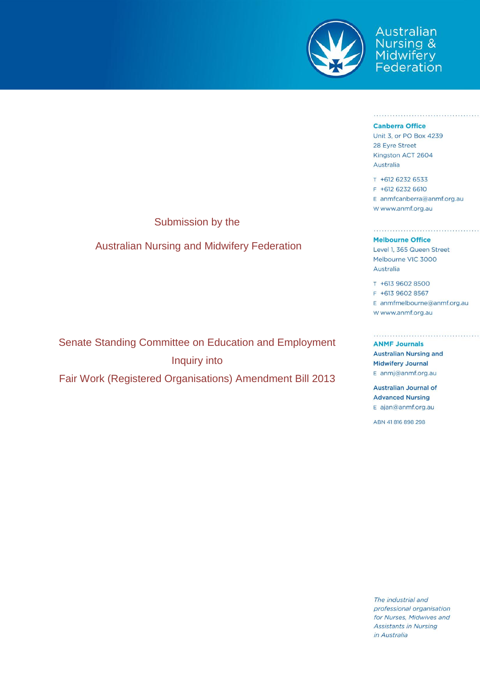

Australian Nursing<br>*Adwifery*<br>Federation

#### **Canberra Office**

Unit 3, or PO Box 4239 28 Eyre Street Kingston ACT 2604 Australia

T +612 6232 6533 F +612 6232 6610 E anmfcanberra@anmf.org.au W www.anmf.org.au

### **Melbourne Office**

Level 1, 365 Queen Street Melbourne VIC 3000 Australia

T +613 9602 8500 F +613 9602 8567 E anmfmelbourne@anmf.org.au W www.anmf.org.au

**ANMF Journals Australian Nursing and Midwifery Journal** E anmj@anmf.org.au

**Australian Journal of Advanced Nursing** E ajan@anmf.org.au

ABN 41816898298

Senate Standing Committee on Education and Employment Inquiry into Fair Work (Registered Organisations) Amendment Bill 2013

Submission by the

**Australian Nursing and Midwifery Federation** 

The industrial and professional organisation for Nurses, Midwives and **Assistants in Nursing** in Australia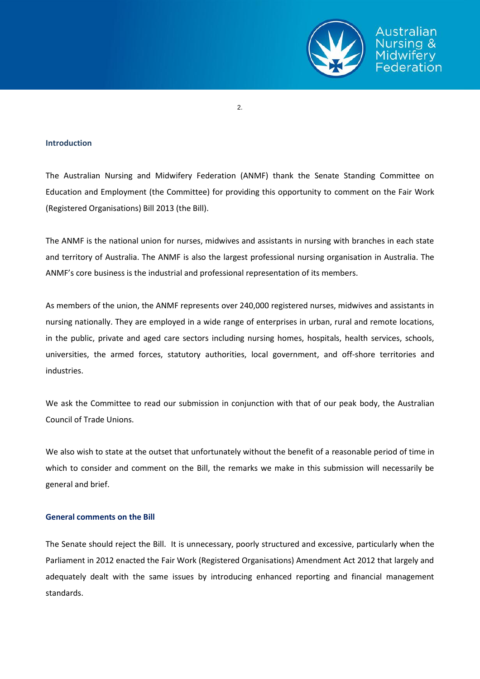

2.

### **Introduction**

The Australian Nursing and Midwifery Federation (ANMF) thank the Senate Standing Committee on Education and Employment (the Committee) for providing this opportunity to comment on the Fair Work (Registered Organisations) Bill 2013 (the Bill).

The ANMF is the national union for nurses, midwives and assistants in nursing with branches in each state and territory of Australia. The ANMF is also the largest professional nursing organisation in Australia. The ANMF's core business is the industrial and professional representation of its members.

As members of the union, the ANMF represents over 240,000 registered nurses, midwives and assistants in nursing nationally. They are employed in a wide range of enterprises in urban, rural and remote locations, in the public, private and aged care sectors including nursing homes, hospitals, health services, schools, universities, the armed forces, statutory authorities, local government, and off-shore territories and industries.

We ask the Committee to read our submission in conjunction with that of our peak body, the Australian Council of Trade Unions.

We also wish to state at the outset that unfortunately without the benefit of a reasonable period of time in which to consider and comment on the Bill, the remarks we make in this submission will necessarily be general and brief.

### **General comments on the Bill**

The Senate should reject the Bill. It is unnecessary, poorly structured and excessive, particularly when the Parliament in 2012 enacted the Fair Work (Registered Organisations) Amendment Act 2012 that largely and adequately dealt with the same issues by introducing enhanced reporting and financial management standards.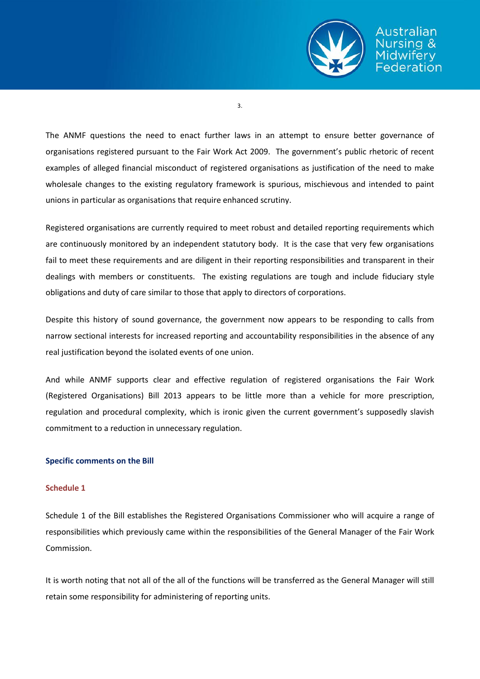

Australian ederation

3.

The ANMF questions the need to enact further laws in an attempt to ensure better governance of organisations registered pursuant to the Fair Work Act 2009. The government's public rhetoric of recent examples of alleged financial misconduct of registered organisations as justification of the need to make wholesale changes to the existing regulatory framework is spurious, mischievous and intended to paint unions in particular as organisations that require enhanced scrutiny.

Registered organisations are currently required to meet robust and detailed reporting requirements which are continuously monitored by an independent statutory body. It is the case that very few organisations fail to meet these requirements and are diligent in their reporting responsibilities and transparent in their dealings with members or constituents. The existing regulations are tough and include fiduciary style obligations and duty of care similar to those that apply to directors of corporations.

Despite this history of sound governance, the government now appears to be responding to calls from narrow sectional interests for increased reporting and accountability responsibilities in the absence of any real justification beyond the isolated events of one union.

And while ANMF supports clear and effective regulation of registered organisations the Fair Work (Registered Organisations) Bill 2013 appears to be little more than a vehicle for more prescription, regulation and procedural complexity, which is ironic given the current government's supposedly slavish commitment to a reduction in unnecessary regulation.

# **Specific comments on the Bill**

### **Schedule 1**

Schedule 1 of the Bill establishes the Registered Organisations Commissioner who will acquire a range of responsibilities which previously came within the responsibilities of the General Manager of the Fair Work Commission.

It is worth noting that not all of the all of the functions will be transferred as the General Manager will still retain some responsibility for administering of reporting units.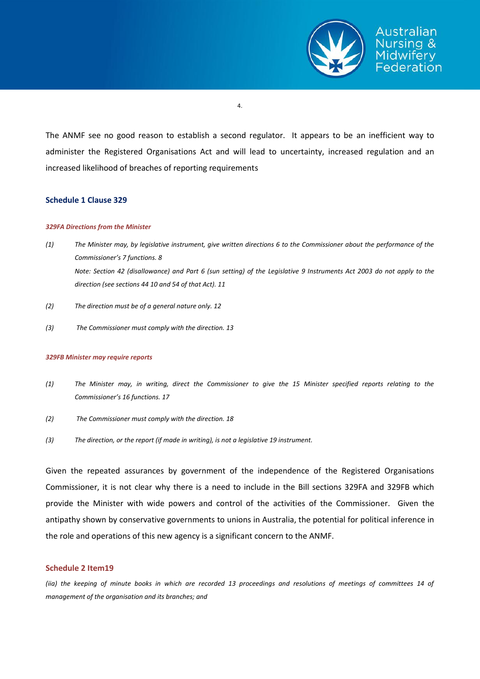

4.

The ANMF see no good reason to establish a second regulator. It appears to be an inefficient way to administer the Registered Organisations Act and will lead to uncertainty, increased regulation and an increased likelihood of breaches of reporting requirements

### **Schedule 1 Clause 329**

### *329FA Directions from the Minister*

- *(1) The Minister may, by legislative instrument, give written directions 6 to the Commissioner about the performance of the Commissioner's 7 functions. 8 Note: Section 42 (disallowance) and Part 6 (sun setting) of the Legislative 9 Instruments Act 2003 do not apply to the direction (see sections 44 10 and 54 of that Act). 11*
- *(2) The direction must be of a general nature only. 12*
- *(3) The Commissioner must comply with the direction. 13*

#### *329FB Minister may require reports*

- *(1) The Minister may, in writing, direct the Commissioner to give the 15 Minister specified reports relating to the Commissioner's 16 functions. 17*
- *(2) The Commissioner must comply with the direction. 18*
- *(3) The direction, or the report (if made in writing), is not a legislative 19 instrument.*

Given the repeated assurances by government of the independence of the Registered Organisations Commissioner, it is not clear why there is a need to include in the Bill sections 329FA and 329FB which provide the Minister with wide powers and control of the activities of the Commissioner. Given the antipathy shown by conservative governments to unions in Australia, the potential for political inference in the role and operations of this new agency is a significant concern to the ANMF.

### **Schedule 2 Item19**

*(iia) the keeping of minute books in which are recorded 13 proceedings and resolutions of meetings of committees 14 of management of the organisation and its branches; and*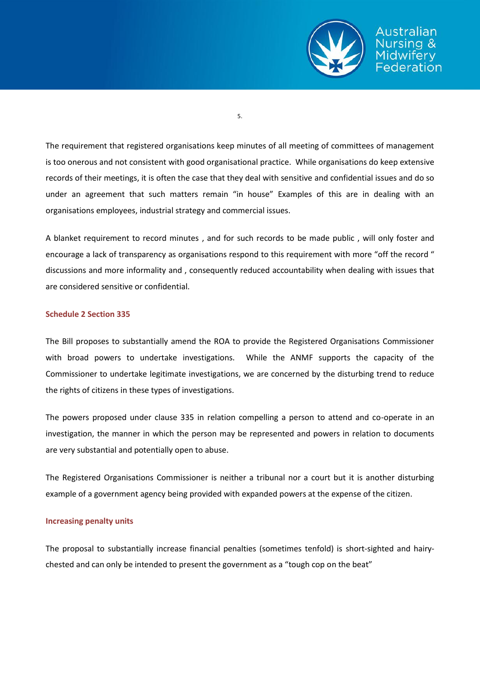

Australian ederation

5.

The requirement that registered organisations keep minutes of all meeting of committees of management is too onerous and not consistent with good organisational practice. While organisations do keep extensive records of their meetings, it is often the case that they deal with sensitive and confidential issues and do so under an agreement that such matters remain "in house" Examples of this are in dealing with an organisations employees, industrial strategy and commercial issues.

A blanket requirement to record minutes , and for such records to be made public , will only foster and encourage a lack of transparency as organisations respond to this requirement with more "off the record " discussions and more informality and , consequently reduced accountability when dealing with issues that are considered sensitive or confidential.

# **Schedule 2 Section 335**

The Bill proposes to substantially amend the ROA to provide the Registered Organisations Commissioner with broad powers to undertake investigations. While the ANMF supports the capacity of the Commissioner to undertake legitimate investigations, we are concerned by the disturbing trend to reduce the rights of citizens in these types of investigations.

The powers proposed under clause 335 in relation compelling a person to attend and co-operate in an investigation, the manner in which the person may be represented and powers in relation to documents are very substantial and potentially open to abuse.

The Registered Organisations Commissioner is neither a tribunal nor a court but it is another disturbing example of a government agency being provided with expanded powers at the expense of the citizen.

# **Increasing penalty units**

The proposal to substantially increase financial penalties (sometimes tenfold) is short-sighted and hairychested and can only be intended to present the government as a "tough cop on the beat"